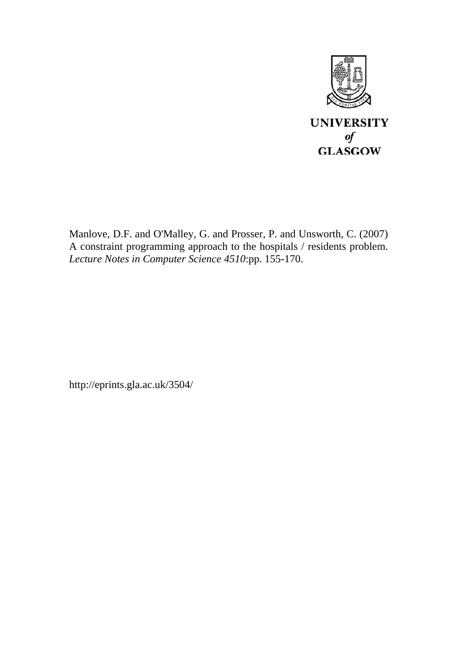

Manlove, D.F. and O'Malley, G. and Prosser, P. and Unsworth, C. (2007) A constraint programming approach to the hospitals / residents problem. *Lecture Notes in Computer Science 4510*:pp. 155-170.

http://eprints.gla.ac.uk/3504/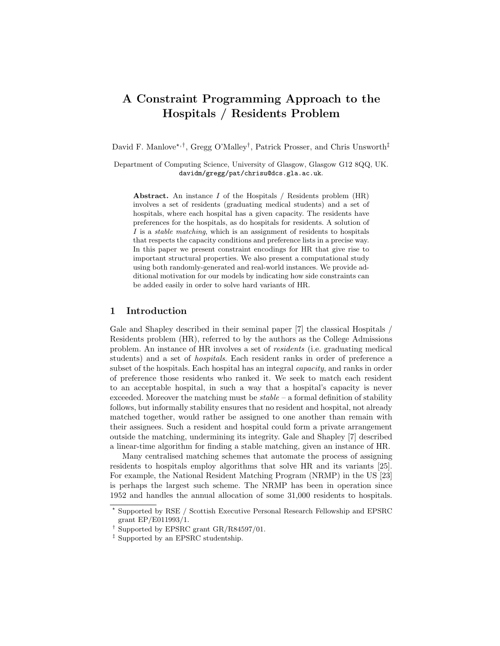# A Constraint Programming Approach to the Hospitals / Residents Problem

David F. Manlove\*,<sup>†</sup>, Gregg O'Malley<sup>†</sup>, Patrick Prosser, and Chris Unsworth<sup>‡</sup>

Department of Computing Science, University of Glasgow, Glasgow G12 8QQ, UK. davidm/gregg/pat/chrisu@dcs.gla.ac.uk.

Abstract. An instance I of the Hospitals / Residents problem (HR) involves a set of residents (graduating medical students) and a set of hospitals, where each hospital has a given capacity. The residents have preferences for the hospitals, as do hospitals for residents. A solution of I is a *stable matching*, which is an assignment of residents to hospitals that respects the capacity conditions and preference lists in a precise way. In this paper we present constraint encodings for HR that give rise to important structural properties. We also present a computational study using both randomly-generated and real-world instances. We provide additional motivation for our models by indicating how side constraints can be added easily in order to solve hard variants of HR.

# 1 Introduction

Gale and Shapley described in their seminal paper [7] the classical Hospitals / Residents problem (HR), referred to by the authors as the College Admissions problem. An instance of HR involves a set of residents (i.e. graduating medical students) and a set of hospitals. Each resident ranks in order of preference a subset of the hospitals. Each hospital has an integral capacity, and ranks in order of preference those residents who ranked it. We seek to match each resident to an acceptable hospital, in such a way that a hospital's capacity is never exceeded. Moreover the matching must be  $stable - a$  formal definition of stability follows, but informally stability ensures that no resident and hospital, not already matched together, would rather be assigned to one another than remain with their assignees. Such a resident and hospital could form a private arrangement outside the matching, undermining its integrity. Gale and Shapley [7] described a linear-time algorithm for finding a stable matching, given an instance of HR.

Many centralised matching schemes that automate the process of assigning residents to hospitals employ algorithms that solve HR and its variants [25]. For example, the National Resident Matching Program (NRMP) in the US [23] is perhaps the largest such scheme. The NRMP has been in operation since 1952 and handles the annual allocation of some 31,000 residents to hospitals.

<sup>?</sup> Supported by RSE / Scottish Executive Personal Research Fellowship and EPSRC grant EP/E011993/1.

<sup>†</sup> Supported by EPSRC grant GR/R84597/01.

<sup>‡</sup> Supported by an EPSRC studentship.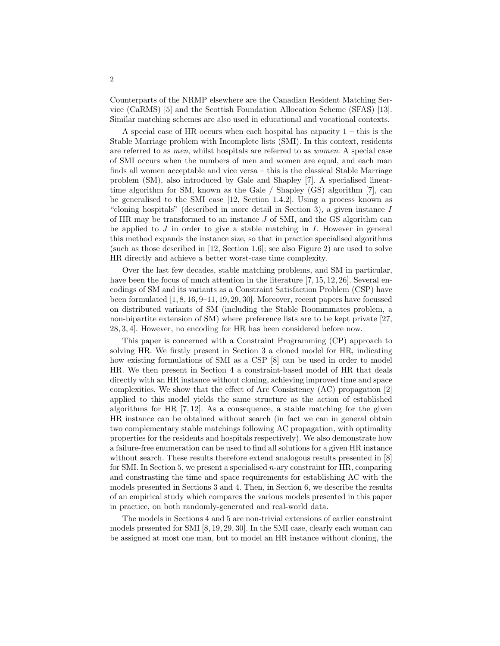Counterparts of the NRMP elsewhere are the Canadian Resident Matching Service (CaRMS) [5] and the Scottish Foundation Allocation Scheme (SFAS) [13]. Similar matching schemes are also used in educational and vocational contexts.

A special case of HR occurs when each hospital has capacity  $1 -$  this is the Stable Marriage problem with Incomplete lists (SMI). In this context, residents are referred to as men, whilst hospitals are referred to as women. A special case of SMI occurs when the numbers of men and women are equal, and each man finds all women acceptable and vice versa – this is the classical Stable Marriage problem (SM), also introduced by Gale and Shapley [7]. A specialised lineartime algorithm for SM, known as the Gale / Shapley (GS) algorithm [7], can be generalised to the SMI case [12, Section 1.4.2]. Using a process known as "cloning hospitals" (described in more detail in Section 3), a given instance I of HR may be transformed to an instance J of SMI, and the GS algorithm can be applied to  $J$  in order to give a stable matching in  $I$ . However in general this method expands the instance size, so that in practice specialised algorithms (such as those described in [12, Section 1.6]; see also Figure 2) are used to solve HR directly and achieve a better worst-case time complexity.

Over the last few decades, stable matching problems, and SM in particular, have been the focus of much attention in the literature [7, 15, 12, 26]. Several encodings of SM and its variants as a Constraint Satisfaction Problem (CSP) have been formulated [1, 8, 16, 9–11, 19, 29, 30]. Moreover, recent papers have focussed on distributed variants of SM (including the Stable Roommmates problem, a non-bipartite extension of SM) where preference lists are to be kept private [27, 28, 3, 4]. However, no encoding for HR has been considered before now.

This paper is concerned with a Constraint Programming (CP) approach to solving HR. We firstly present in Section 3 a cloned model for HR, indicating how existing formulations of SMI as a CSP [8] can be used in order to model HR. We then present in Section 4 a constraint-based model of HR that deals directly with an HR instance without cloning, achieving improved time and space complexities. We show that the effect of Arc Consistency (AC) propagation [2] applied to this model yields the same structure as the action of established algorithms for HR  $[7, 12]$ . As a consequence, a stable matching for the given HR instance can be obtained without search (in fact we can in general obtain two complementary stable matchings following AC propagation, with optimality properties for the residents and hospitals respectively). We also demonstrate how a failure-free enumeration can be used to find all solutions for a given HR instance without search. These results therefore extend analogous results presented in [8] for SMI. In Section 5, we present a specialised n-ary constraint for HR, comparing and constrasting the time and space requirements for establishing AC with the models presented in Sections 3 and 4. Then, in Section 6, we describe the results of an empirical study which compares the various models presented in this paper in practice, on both randomly-generated and real-world data.

The models in Sections 4 and 5 are non-trivial extensions of earlier constraint models presented for SMI [8, 19, 29, 30]. In the SMI case, clearly each woman can be assigned at most one man, but to model an HR instance without cloning, the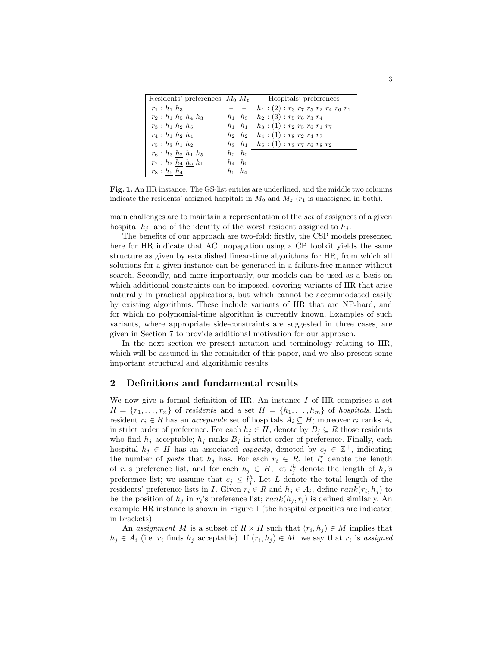| Residents' preferences $ M_0 M_z $ |       |                | Hospitals' preferences                                                                  |
|------------------------------------|-------|----------------|-----------------------------------------------------------------------------------------|
| $r_1 : h_1 h_3$                    |       |                | $h_1: (2): \underline{r_3} r_7 \underline{r_5} \underline{r_2} r_4 \underline{r_6} r_1$ |
| $r_2: h_1 h_5 h_4 h_3$             |       |                | $h_1 h_3 h_2 (3):$ $r_5 r_6 r_3 r_4$                                                    |
| $r_3: h_1 h_2 h_5$                 |       |                | $h_1   h_1   h_3 : (1) : r_2 r_5 r_6 r_1 r_7$                                           |
| $r_4: h_1 h_2 h_4$                 |       |                | $h_2$ $h_2$ $h_4$ : (1) : $r_8$ $r_2$ $r_4$ $r_7$                                       |
| $r_5: h_3 h_1 h_2$                 |       |                | $h_3$ $h_1$ $h_5$ : (1) : $r_3$ $r_7$ $r_6$ $r_8$ $r_2$                                 |
| $r_6: h_3 h_2 h_1 h_5$             |       | $h_2 \mid h_2$ |                                                                                         |
| $r_7: h_3 h_4 h_5 h_1$             |       | $h_4 \mid h_5$ |                                                                                         |
| $r_8 : h_5 h_4$                    | $h_5$ | $h_4$          |                                                                                         |

Fig. 1. An HR instance. The GS-list entries are underlined, and the middle two columns indicate the residents' assigned hospitals in  $M_0$  and  $M_z$  ( $r_1$  is unassigned in both).

main challenges are to maintain a representation of the set of assignees of a given hospital  $h_i$ , and of the identity of the worst resident assigned to  $h_i$ .

The benefits of our approach are two-fold: firstly, the CSP models presented here for HR indicate that AC propagation using a CP toolkit yields the same structure as given by established linear-time algorithms for HR, from which all solutions for a given instance can be generated in a failure-free manner without search. Secondly, and more importantly, our models can be used as a basis on which additional constraints can be imposed, covering variants of HR that arise naturally in practical applications, but which cannot be accommodated easily by existing algorithms. These include variants of HR that are NP-hard, and for which no polynomial-time algorithm is currently known. Examples of such variants, where appropriate side-constraints are suggested in three cases, are given in Section 7 to provide additional motivation for our approach.

In the next section we present notation and terminology relating to HR, which will be assumed in the remainder of this paper, and we also present some important structural and algorithmic results.

# 2 Definitions and fundamental results

We now give a formal definition of HR. An instance  $I$  of HR comprises a set  $R = \{r_1, \ldots, r_n\}$  of residents and a set  $H = \{h_1, \ldots, h_m\}$  of hospitals. Each resident  $r_i \in R$  has an *acceptable* set of hospitals  $A_i \subseteq H$ ; moreover  $r_i$  ranks  $A_i$ in strict order of preference. For each  $h_j \in H$ , denote by  $B_j \subseteq R$  those residents who find  $h_j$  acceptable;  $h_j$  ranks  $B_j$  in strict order of preference. Finally, each hospital  $h_j \in H$  has an associated *capacity*, denoted by  $c_j \in \mathbb{Z}^+$ , indicating the number of posts that  $h_j$  has. For each  $r_i \in R$ , let  $l_i^r$  denote the length of r<sub>i</sub>'s preference list, and for each  $h_j \in H$ , let  $l_j^h$  denote the length of  $h_j$ 's preference list; we assume that  $c_j \leq l_j^h$ . Let L denote the total length of the residents' preference lists in *I*. Given  $r_i \in R$  and  $h_j \in A_i$ , define  $rank(r_i, h_j)$  to be the position of  $h_j$  in  $r_i$ 's preference list;  $rank(h_j, r_i)$  is defined similarly. An example HR instance is shown in Figure 1 (the hospital capacities are indicated in brackets).

An assignment M is a subset of  $R \times H$  such that  $(r_i, h_j) \in M$  implies that  $h_j \in A_i$  (i.e.  $r_i$  finds  $h_j$  acceptable). If  $(r_i, h_j) \in M$ , we say that  $r_i$  is assigned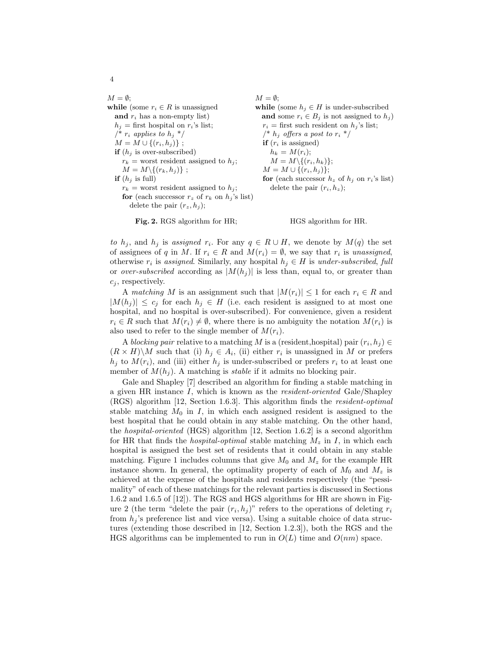$M = \emptyset;$ while (some  $r_i \in R$  is unassigned and  $r_i$  has a non-empty list)  $h_j$  = first hospital on  $r_i$ 's list; /\*  $r_i$  applies to  $h_j$  \*/  $M = M \cup \{(r_i, h_j)\};$ **if**  $(h_j$  is over-subscribed)  $r_k$  = worst resident assigned to  $h_i$ ;  $M = M \setminus \{(r_k, h_j)\};$ **if**  $(h_i$  is full)  $r_k$  = worst resident assigned to  $h_j$ ; for (each successor  $r_z$  of  $r_k$  on  $h_j$ 's list) delete the pair  $(r_z, h_i);$  $M = \emptyset;$ while (some  $h_i \in H$  is under-subscribed and some  $r_i \in B_j$  is not assigned to  $h_j$ )  $r_i$  = first such resident on  $h_j$ 's list;  $\frac{1}{r}$  h<sub>j</sub> offers a post to r<sub>i</sub> \*/ **if**  $(r_i$  is assigned)  $h_k = M(r_i);$  $M = M \setminus \{(r_i, h_k)\};$  $M = M \cup \{(r_i, h_j)\};$ for (each successor  $h_z$  of  $h_j$  on  $r_i$ 's list) delete the pair  $(r_i, h_z)$ ;

Fig. 2. RGS algorithm for HR; HGS algorithm for HR.

to  $h_j$ , and  $h_j$  is assigned  $r_i$ . For any  $q \in R \cup H$ , we denote by  $M(q)$  the set of assignees of q in M. If  $r_i \in R$  and  $M(r_i) = \emptyset$ , we say that  $r_i$  is unassigned, otherwise  $r_i$  is assigned. Similarly, any hospital  $h_j \in H$  is under-subscribed, full or *over-subscribed* according as  $|M(h_i)|$  is less than, equal to, or greater than  $c_i$ , respectively.

A matching M is an assignment such that  $|M(r_i)| \leq 1$  for each  $r_i \in R$  and  $|M(h_i)| \leq c_i$  for each  $h_i \in H$  (i.e. each resident is assigned to at most one hospital, and no hospital is over-subscribed). For convenience, given a resident  $r_i \in R$  such that  $M(r_i) \neq \emptyset$ , where there is no ambiguity the notation  $M(r_i)$  is also used to refer to the single member of  $M(r_i)$ .

A blocking pair relative to a matching M is a (resident, hospital) pair  $(r_i, h_j) \in$  $(R \times H)\backslash M$  such that (i)  $h_j \in A_i$ , (ii) either  $r_i$  is unassigned in M or prefers  $h_j$  to  $M(r_i)$ , and (iii) either  $h_j$  is under-subscribed or prefers  $r_i$  to at least one member of  $M(h_i)$ . A matching is *stable* if it admits no blocking pair.

Gale and Shapley [7] described an algorithm for finding a stable matching in a given HR instance  $I$ , which is known as the *resident-oriented* Gale/Shapley (RGS) algorithm [12, Section 1.6.3]. This algorithm finds the resident-optimal stable matching  $M_0$  in I, in which each assigned resident is assigned to the best hospital that he could obtain in any stable matching. On the other hand, the hospital-oriented (HGS) algorithm [12, Section 1.6.2] is a second algorithm for HR that finds the *hospital-optimal* stable matching  $M_z$  in I, in which each hospital is assigned the best set of residents that it could obtain in any stable matching. Figure 1 includes columns that give  $M_0$  and  $M_z$  for the example HR instance shown. In general, the optimality property of each of  $M_0$  and  $M_z$  is achieved at the expense of the hospitals and residents respectively (the "pessimality" of each of these matchings for the relevant parties is discussed in Sections 1.6.2 and 1.6.5 of [12]). The RGS and HGS algorithms for HR are shown in Figure 2 (the term "delete the pair  $(r_i, h_j)$ " refers to the operations of deleting  $r_i$ from  $h_j$ 's preference list and vice versa). Using a suitable choice of data structures (extending those described in [12, Section 1.2.3]), both the RGS and the HGS algorithms can be implemented to run in  $O(L)$  time and  $O(nm)$  space.

4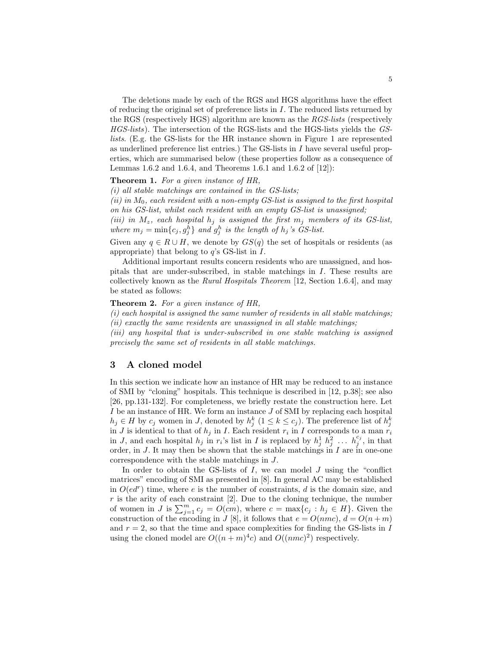The deletions made by each of the RGS and HGS algorithms have the effect of reducing the original set of preference lists in I. The reduced lists returned by the RGS (respectively HGS) algorithm are known as the RGS-lists (respectively HGS-lists). The intersection of the RGS-lists and the HGS-lists yields the GSlists. (E.g. the GS-lists for the HR instance shown in Figure 1 are represented as underlined preference list entries.) The GS-lists in I have several useful properties, which are summarised below (these properties follow as a consequence of Lemmas 1.6.2 and 1.6.4, and Theorems 1.6.1 and 1.6.2 of [12]):

Theorem 1. For a given instance of HR,

(i) all stable matchings are contained in the GS-lists;

(ii) in  $M_0$ , each resident with a non-empty GS-list is assigned to the first hospital on his GS-list, whilst each resident with an empty GS-list is unassigned;

(iii) in  $M_z$ , each hospital  $h_j$  is assigned the first  $m_j$  members of its GS-list, where  $m_j = \min\{c_j, g_j^h\}$  and  $g_j^h$  is the length of  $h_j$ 's GS-list.

Given any  $q \in R \cup H$ , we denote by  $GS(q)$  the set of hospitals or residents (as appropriate) that belong to  $q$ 's GS-list in  $I$ .

Additional important results concern residents who are unassigned, and hospitals that are under-subscribed, in stable matchings in I. These results are collectively known as the Rural Hospitals Theorem [12, Section 1.6.4], and may be stated as follows:

Theorem 2. For a given instance of HR,

 $(i)$  each hospital is assigned the same number of residents in all stable matchings;  $(ii)$  exactly the same residents are unassigned in all stable matchings;

(iii) any hospital that is under-subscribed in one stable matching is assigned precisely the same set of residents in all stable matchings.

# 3 A cloned model

In this section we indicate how an instance of HR may be reduced to an instance of SMI by "cloning" hospitals. This technique is described in [12, p.38]; see also [26, pp.131-132]. For completeness, we briefly restate the construction here. Let I be an instance of HR. We form an instance J of SMI by replacing each hospital  $h_j \in H$  by  $c_j$  women in J, denoted by  $h_j^k$   $(1 \leq k \leq c_j)$ . The preference list of  $h_j^k$ in J is identical to that of  $h_j$  in I. Each resident  $r_i$  in I corresponds to a man  $r_i$ in J, and each hospital  $h_j$  in  $r_i$ 's list in I is replaced by  $h_j^1$   $\hat{h}_j^2$  ...  $h_j^{c_j}$ , in that order, in  $J$ . It may then be shown that the stable matchings in  $I$  are in one-one correspondence with the stable matchings in J.

In order to obtain the GS-lists of  $I$ , we can model  $J$  using the "conflict" matrices" encoding of SMI as presented in [8]. In general AC may be established in  $O(ed^r)$  time, where e is the number of constraints, d is the domain size, and  $r$  is the arity of each constraint  $[2]$ . Due to the cloning technique, the number of women in J is  $\sum_{j=1}^{m} c_j = O(c_m)$ , where  $c = \max\{c_j : h_j \in H\}$ . Given the construction of the encoding in J [8], it follows that  $e = O(nmc)$ ,  $d = O(n+m)$ and  $r = 2$ , so that the time and space complexities for finding the GS-lists in I using the cloned model are  $O((n+m)^4c)$  and  $O((nmc)^2)$  respectively.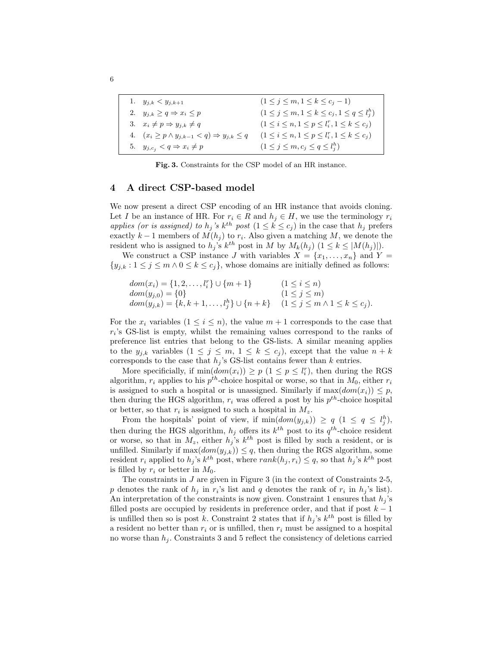| 1. $y_{j,k} < y_{j,k+1}$                                         | $(1 \leq j \leq m, 1 \leq k \leq c_j-1)$                    |
|------------------------------------------------------------------|-------------------------------------------------------------|
| 2. $y_{i,k} \geq q \Rightarrow x_i \leq p$                       | $(1 \leq j \leq m, 1 \leq k \leq c_j, 1 \leq q \leq l_i^h)$ |
| 3. $x_i \neq p \Rightarrow y_{j,k} \neq q$                       | $(1 \leq i \leq n, 1 \leq p \leq l_i^r, 1 \leq k \leq c_j)$ |
| 4. $(x_i \geq p \land y_{j,k-1} < q) \Rightarrow y_{j,k} \leq q$ | $(1 \leq i \leq n, 1 \leq p \leq l_i^r, 1 \leq k \leq c_j)$ |
| 5. $y_{j,c_j} < q \Rightarrow x_i \neq p$                        | $(1\leq j\leq m, c_j\leq q\leq l_j^h)$                      |

Fig. 3. Constraints for the CSP model of an HR instance.

# 4 A direct CSP-based model

We now present a direct CSP encoding of an HR instance that avoids cloning. Let I be an instance of HR. For  $r_i \in R$  and  $h_i \in H$ , we use the terminology  $r_i$ applies (or is assigned) to  $h_j$ 's  $k^{th}$  post  $(1 \leq k \leq c_j)$  in the case that  $h_j$  prefers exactly  $k-1$  members of  $M(h_j)$  to  $r_i$ . Also given a matching M, we denote the resident who is assigned to  $h_j$ 's  $k^{th}$  post in M by  $M_k(h_j)$   $(1 \leq k \leq |M(h_j)|)$ .

We construct a CSP instance J with variables  $X = \{x_1, \ldots, x_n\}$  and  $Y =$  $\{y_{j,k} : 1 \leq j \leq m \land 0 \leq k \leq c_j\}$ , whose domains are initially defined as follows:

$$
dom(x_i) = \{1, 2, ..., l_i^r\} \cup \{m+1\}
$$
  
\n
$$
dom(y_{j,0}) = \{0\}
$$
  
\n
$$
dom(y_{j,k}) = \{k, k+1, ..., l_j^h\} \cup \{n+k\}
$$
  
\n
$$
(1 \leq j \leq m)
$$
  
\n
$$
(1 \leq j \leq m) \cup \{2, 1 \leq k \leq c_j\}
$$

For the  $x_i$  variables  $(1 \leq i \leq n)$ , the value  $m+1$  corresponds to the case that  $r_i$ 's GS-list is empty, whilst the remaining values correspond to the ranks of preference list entries that belong to the GS-lists. A similar meaning applies to the  $y_{j,k}$  variables  $(1 \leq j \leq m, 1 \leq k \leq c_j)$ , except that the value  $n+k$ corresponds to the case that  $h_j$ 's GS-list contains fewer than k entries.

More specificially, if  $\min(dom(x_i)) \geq p$   $(1 \leq p \leq l_i^r)$ , then during the RGS algorithm,  $r_i$  applies to his  $p^{th}$ -choice hospital or worse, so that in  $M_0$ , either  $r_i$ is assigned to such a hospital or is unassigned. Similarly if  $\max(dom(x_i)) \leq p$ , then during the HGS algorithm,  $r_i$  was offered a post by his  $p^{th}$ -choice hospital or better, so that  $r_i$  is assigned to such a hospital in  $M_z$ .

From the hospitals' point of view, if  $\min(dom(y_{j,k})) \ge q$   $(1 \le q \le l_j^h)$ , then during the HGS algorithm,  $h_j$  offers its  $k^{th}$  post to its  $q^{th}$ -choice resident or worse, so that in  $M_z$ , either  $h_j$ 's  $k^{th}$  post is filled by such a resident, or is unfilled. Similarly if  $\max(dom(y_{j,k})) \leq q$ , then during the RGS algorithm, some resident  $r_i$  applied to  $h_j$ 's  $k^{th}$  post, where  $rank(h_j, r_i) \leq q$ , so that  $h_j$ 's  $k^{th}$  post is filled by  $r_i$  or better in  $M_0$ .

The constraints in J are given in Figure 3 (in the context of Constraints 2-5, p denotes the rank of  $h_j$  in  $r_i$ 's list and q denotes the rank of  $r_i$  in  $h_j$ 's list). An interpretation of the constraints is now given. Constraint 1 ensures that  $h_i$ 's filled posts are occupied by residents in preference order, and that if post  $k - 1$ is unfilled then so is post k. Constraint 2 states that if  $h_j$ 's  $k^{th}$  post is filled by a resident no better than  $r_i$  or is unfilled, then  $r_i$  must be assigned to a hospital no worse than  $h_i$ . Constraints 3 and 5 reflect the consistency of deletions carried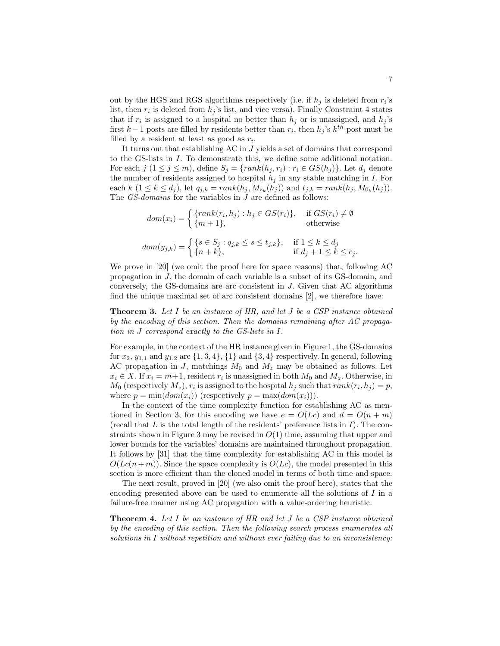out by the HGS and RGS algorithms respectively (i.e. if  $h_j$  is deleted from  $r_i$ 's list, then  $r_i$  is deleted from  $h_j$ 's list, and vice versa). Finally Constraint 4 states that if  $r_i$  is assigned to a hospital no better than  $h_j$  or is unassigned, and  $h_j$ 's first  $k-1$  posts are filled by residents better than  $r_i$ , then  $h_j$ 's  $k^{th}$  post must be filled by a resident at least as good as  $r_i$ .

It turns out that establishing AC in J yields a set of domains that correspond to the GS-lists in I. To demonstrate this, we define some additional notation. For each j  $(1 \leq j \leq m)$ , define  $S_i = \{rank(h_i, r_i) : r_i \in GS(h_i)\}$ . Let  $d_i$  denote the number of residents assigned to hospital  $h_i$  in any stable matching in I. For each  $k$   $(1 \le k \le d_j)$ , let  $q_{j,k} = rank(h_j, M_{z_k}(h_j))$  and  $t_{j,k} = rank(h_j, M_{0_k}(h_j))$ . The *GS-domains* for the variables in *J* are defined as follows:

$$
dom(x_i) = \begin{cases} \{rank(r_i, h_j) : h_j \in GS(r_i)\}, & \text{if } GS(r_i) \neq \emptyset \\ \{m+1\}, & \text{otherwise} \end{cases}
$$

$$
dom(y_{j,k}) = \begin{cases} \{s \in S_j : q_{j,k} \le s \le t_{j,k}\}, & \text{if } 1 \le k \le d_j \\ \{n+k\}, & \text{if } d_j+1 \le k \le c_j. \end{cases}
$$

We prove in [20] (we omit the proof here for space reasons) that, following AC propagation in J, the domain of each variable is a subset of its GS-domain, and conversely, the GS-domains are arc consistent in J. Given that AC algorithms find the unique maximal set of arc consistent domains [2], we therefore have:

**Theorem 3.** Let I be an instance of HR, and let J be a CSP instance obtained by the encoding of this section. Then the domains remaining after AC propagation in J correspond exactly to the GS-lists in I.

For example, in the context of the HR instance given in Figure 1, the GS-domains for  $x_2, y_{1,1}$  and  $y_{1,2}$  are  $\{1, 3, 4\}$ ,  $\{1\}$  and  $\{3, 4\}$  respectively. In general, following AC propagation in J, matchings  $M_0$  and  $M_z$  may be obtained as follows. Let  $x_i \in X$ . If  $x_i = m+1$ , resident  $r_i$  is unassigned in both  $M_0$  and  $M_z$ . Otherwise, in  $M_0$  (respectively  $M_z$ ),  $r_i$  is assigned to the hospital  $h_j$  such that  $rank(r_i, h_j) = p$ , where  $p = min(dom(x_i))$  (respectively  $p = max(dom(x_i))$ ).

In the context of the time complexity function for establishing AC as mentioned in Section 3, for this encoding we have  $e = O(Lc)$  and  $d = O(n+m)$ (recall that  $L$  is the total length of the residents' preference lists in  $I$ ). The constraints shown in Figure 3 may be revised in  $O(1)$  time, assuming that upper and lower bounds for the variables' domains are maintained throughout propagation. It follows by [31] that the time complexity for establishing AC in this model is  $O(Lc(n+m))$ . Since the space complexity is  $O(Lc)$ , the model presented in this section is more efficient than the cloned model in terms of both time and space.

The next result, proved in [20] (we also omit the proof here), states that the encoding presented above can be used to enumerate all the solutions of I in a failure-free manner using AC propagation with a value-ordering heuristic.

**Theorem 4.** Let I be an instance of HR and let J be a CSP instance obtained by the encoding of this section. Then the following search process enumerates all solutions in I without repetition and without ever failing due to an inconsistency: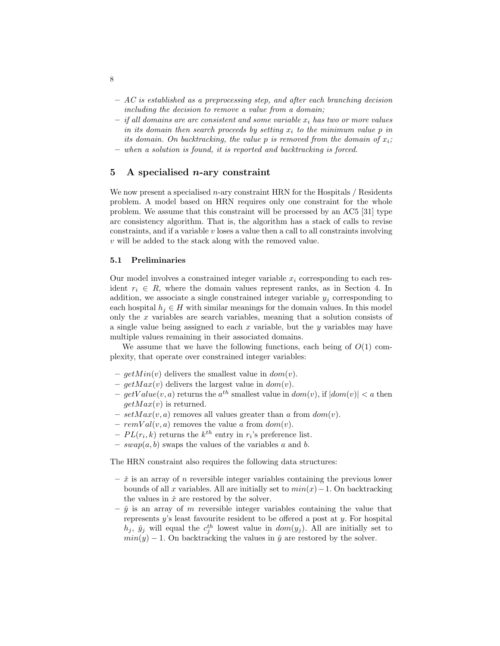- AC is established as a preprocessing step, and after each branching decision including the decision to remove a value from a domain;
- $-$  if all domains are arc consistent and some variable  $x_i$  has two or more values in its domain then search proceeds by setting  $x_i$  to the minimum value p in its domain. On backtracking, the value  $p$  is removed from the domain of  $x_i$ ;
- when a solution is found, it is reported and backtracking is forced.

# 5 A specialised  $n$ -ary constraint

We now present a specialised n-ary constraint HRN for the Hospitals  $/$  Residents problem. A model based on HRN requires only one constraint for the whole problem. We assume that this constraint will be processed by an AC5 [31] type arc consistency algorithm. That is, the algorithm has a stack of calls to revise constraints, and if a variable  $v$  loses a value then a call to all constraints involving v will be added to the stack along with the removed value.

#### 5.1 Preliminaries

Our model involves a constrained integer variable  $x_i$  corresponding to each resident  $r_i \in R$ , where the domain values represent ranks, as in Section 4. In addition, we associate a single constrained integer variable  $y_i$  corresponding to each hospital  $h_i \in H$  with similar meanings for the domain values. In this model only the  $x$  variables are search variables, meaning that a solution consists of a single value being assigned to each x variable, but the  $y$  variables may have multiple values remaining in their associated domains.

We assume that we have the following functions, each being of  $O(1)$  complexity, that operate over constrained integer variables:

- $qetMin(v)$  delivers the smallest value in  $dom(v)$ .
- get $Max(v)$  delivers the largest value in  $dom(v)$ .
- getValue(v, a) returns the  $a^{th}$  smallest value in  $dom(v)$ , if  $|dom(v)| < a$  then  $getMax(v)$  is returned.
- $setMax(v, a)$  removes all values greater than a from  $dom(v)$ .
- $remVal(v, a)$  removes the value a from  $dom(v)$ .
- $PL(r_i, k)$  returns the  $k^{th}$  entry in  $r_i$ 's preference list.
- $swap(a, b)$  swaps the values of the variables a and b.

The HRN constraint also requires the following data structures:

- $\check{x}$  is an array of n reversible integer variables containing the previous lower bounds of all x variables. All are initially set to  $min(x)-1$ . On backtracking the values in  $\check{x}$  are restored by the solver.
- $\check{y}$  is an array of m reversible integer variables containing the value that represents  $y$ 's least favourite resident to be offered a post at  $y$ . For hospital  $h_j$ ,  $\check{y}_j$  will equal the  $c_j^{th}$  lowest value in  $dom(y_j)$ . All are initially set to  $min(y) - 1$ . On backtracking the values in  $\check{y}$  are restored by the solver.

8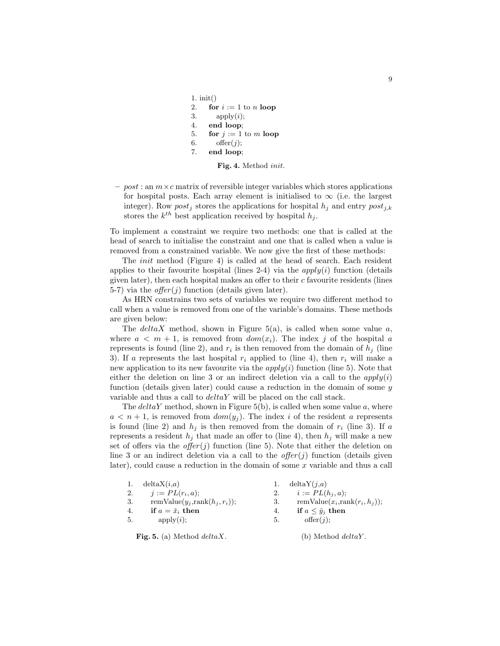

Fig. 4. Method init.

– post : an  $m \times c$  matrix of reversible integer variables which stores applications for hospital posts. Each array element is initialised to  $\infty$  (i.e. the largest integer). Row post<sub>j</sub> stores the applications for hospital  $h_j$  and entry post<sub>j,k</sub> stores the  $k^{th}$  best application received by hospital  $h_j$ .

To implement a constraint we require two methods: one that is called at the head of search to initialise the constraint and one that is called when a value is removed from a constrained variable. We now give the first of these methods:

The init method (Figure 4) is called at the head of search. Each resident applies to their favourite hospital (lines 2-4) via the  $apply(i)$  function (details given later), then each hospital makes an offer to their c favourite residents (lines 5-7) via the *offer* $(j)$  function (details given later).

As HRN constrains two sets of variables we require two different method to call when a value is removed from one of the variable's domains. These methods are given below:

The  $delta X$  method, shown in Figure 5(a), is called when some value a, where  $a < m + 1$ , is removed from  $dom(x_i)$ . The index j of the hospital a represents is found (line 2), and  $r_i$  is then removed from the domain of  $h_j$  (line 3). If a represents the last hospital  $r_i$  applied to (line 4), then  $r_i$  will make a new application to its new favourite via the  $apply(i)$  function (line 5). Note that either the deletion on line 3 or an indirect deletion via a call to the  $apply(i)$ function (details given later) could cause a reduction in the domain of some  $\eta$ variable and thus a call to  $deltaY$  will be placed on the call stack.

The  $deltaY$  method, shown in Figure 5(b), is called when some value a, where  $a < n + 1$ , is removed from  $dom(y_i)$ . The index i of the resident a represents is found (line 2) and  $h_j$  is then removed from the domain of  $r_i$  (line 3). If a represents a resident  $h_i$  that made an offer to (line 4), then  $h_i$  will make a new set of offers via the *offer* (*j*) function (line 5). Note that either the deletion on line 3 or an indirect deletion via a call to the *offer*  $(j)$  function (details given later), could cause a reduction in the domain of some  $x$  variable and thus a call

|    | deltaX(i,a)                               |    | deltaY(i,a)                               |
|----|-------------------------------------------|----|-------------------------------------------|
| 2. | $j := PL(r_i, a);$                        |    | 2. $i := PL(h_j, a);$                     |
| 3. | remValue $(y_i, \text{rank}(h_i, r_i))$ ; | 3. | remValue $(x_i, \text{rank}(r_i, h_i))$ ; |
| 4. | if $a = \check{x}_i$ then                 | 4. | if $a \leq \check{y}_i$ then              |
| 5. | apply(i);                                 | 5. | offer(i):                                 |
|    | Fig. 5. (a) Method $deltaX$ .             |    | (b) Method $deltaY$ .                     |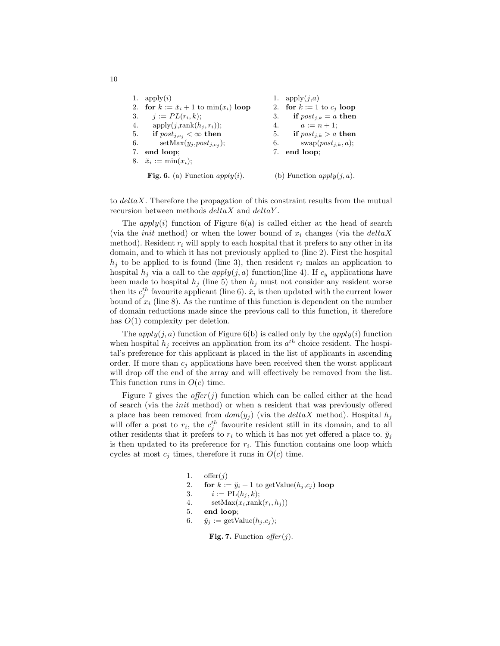```
1. apply(i)2. for k := \check{x}_i + 1 to \min(x_i) loop
3. j := PL(r_i, k);4. apply(j,rank(h_j, r_i));
5. if post_{j,c_j} < \infty then<br>6. setMax(y_i, post_{i,c_i})6. set\text{Max}(y_j, post_{j,c_j});7. end loop;
8. \check{x}_i := \min(x_i);1. apply(j,a)2. for k := 1 to c_i loop
                                               3. if post_{j,k} = a then
                                               4. a := n + 1;5. if post_{j,k} > a then
                                               6. swap(post_{j,k}, a);7. end loop;
    Fig. 6. (a) Function apply(i). (b) Function apply(j, a).
```
to  $deltaX$ . Therefore the propagation of this constraint results from the mutual recursion between methods  $delta X$  and  $delta Y$ .

The *apply(i)* function of Figure  $6(a)$  is called either at the head of search (via the *init* method) or when the lower bound of  $x_i$  changes (via the  $deltaX$ method). Resident  $r_i$  will apply to each hospital that it prefers to any other in its domain, and to which it has not previously applied to (line 2). First the hospital  $h_j$  to be applied to is found (line 3), then resident  $r_i$  makes an application to hospital  $h_j$  via a call to the  $apply(j, a)$  function(line 4). If  $c_y$  applications have been made to hospital  $h_j$  (line 5) then  $h_j$  must not consider any resident worse then its  $c_j^{th}$  favourite applicant (line 6).  $\tilde{x}_i$  is then updated with the current lower bound of  $x_i$  (line 8). As the runtime of this function is dependent on the number of domain reductions made since the previous call to this function, it therefore has  $O(1)$  complexity per deletion.

The  $apply(j, a)$  function of Figure 6(b) is called only by the  $apply(i)$  function when hospital  $h_j$  receives an application from its  $a^{th}$  choice resident. The hospital's preference for this applicant is placed in the list of applicants in ascending order. If more than  $c_i$  applications have been received then the worst applicant will drop off the end of the array and will effectively be removed from the list. This function runs in  $O(c)$  time.

Figure 7 gives the *offer* (*j*) function which can be called either at the head of search (via the init method) or when a resident that was previously offered a place has been removed from  $dom(y_j)$  (via the  $delta X$  method). Hospital  $h_j$ will offer a post to  $r_i$ , the  $c_j^{th}$  favourite resident still in its domain, and to all other residents that it prefers to  $r_i$  to which it has not yet offered a place to.  $\tilde{y}_i$ is then updated to its preference for  $r_i$ . This function contains one loop which cycles at most  $c_i$  times, therefore it runs in  $O(c)$  time.

- 1. offer $(i)$
- 2. for  $k := \check{y}_i + 1$  to getValue $(h_i, c_i)$  loop
- 3.  $i := PL(h_i, k);$
- 4. setMax $(x_i, \text{rank}(r_i, h_j))$
- 5. end loop;
- 6.  $\check{y}_j := \text{getValue}(h_j, c_j);$

Fig. 7. Function offer $(i)$ .

10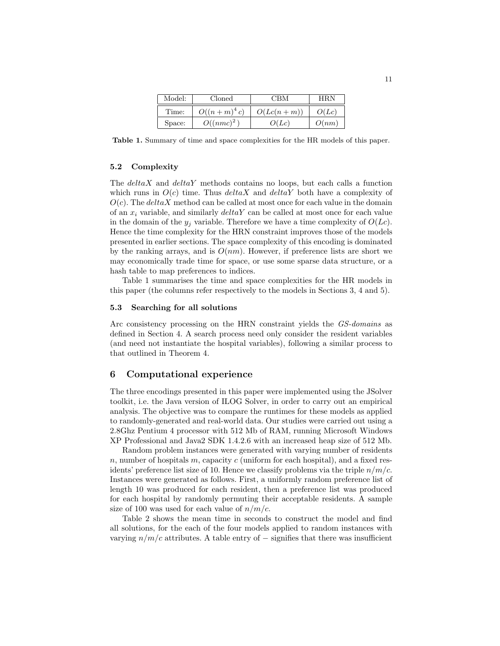| Model: | Cloned         | CBM          | HRN   |
|--------|----------------|--------------|-------|
| Time:  | $O((n+m)^4 c)$ | $O(Lc(n+m))$ | O(Lc) |
| Space: | $O((nmc)^2)$   | O(Lc)        | O(nm) |

Table 1. Summary of time and space complexities for the HR models of this paper.

#### 5.2 Complexity

The  $deltaX$  and  $deltaY$  methods contains no loops, but each calls a function which runs in  $O(c)$  time. Thus deltaX and deltaY both have a complexity of  $O(c)$ . The deltaX method can be called at most once for each value in the domain of an  $x_i$  variable, and similarly  $delta Y$  can be called at most once for each value in the domain of the  $y_i$  variable. Therefore we have a time complexity of  $O(Lc)$ . Hence the time complexity for the HRN constraint improves those of the models presented in earlier sections. The space complexity of this encoding is dominated by the ranking arrays, and is  $O(nm)$ . However, if preference lists are short we may economically trade time for space, or use some sparse data structure, or a hash table to map preferences to indices.

Table 1 summarises the time and space complexities for the HR models in this paper (the columns refer respectively to the models in Sections 3, 4 and 5).

#### 5.3 Searching for all solutions

Arc consistency processing on the HRN constraint yields the GS-domains as defined in Section 4. A search process need only consider the resident variables (and need not instantiate the hospital variables), following a similar process to that outlined in Theorem 4.

# 6 Computational experience

The three encodings presented in this paper were implemented using the JSolver toolkit, i.e. the Java version of ILOG Solver, in order to carry out an empirical analysis. The objective was to compare the runtimes for these models as applied to randomly-generated and real-world data. Our studies were carried out using a 2.8Ghz Pentium 4 processor with 512 Mb of RAM, running Microsoft Windows XP Professional and Java2 SDK 1.4.2.6 with an increased heap size of 512 Mb.

Random problem instances were generated with varying number of residents n, number of hospitals m, capacity c (uniform for each hospital), and a fixed residents' preference list size of 10. Hence we classify problems via the triple  $n/m/c$ . Instances were generated as follows. First, a uniformly random preference list of length 10 was produced for each resident, then a preference list was produced for each hospital by randomly permuting their acceptable residents. A sample size of 100 was used for each value of  $n/m/c$ .

Table 2 shows the mean time in seconds to construct the model and find all solutions, for the each of the four models applied to random instances with varying  $n/m/c$  attributes. A table entry of  $-$  signifies that there was insufficient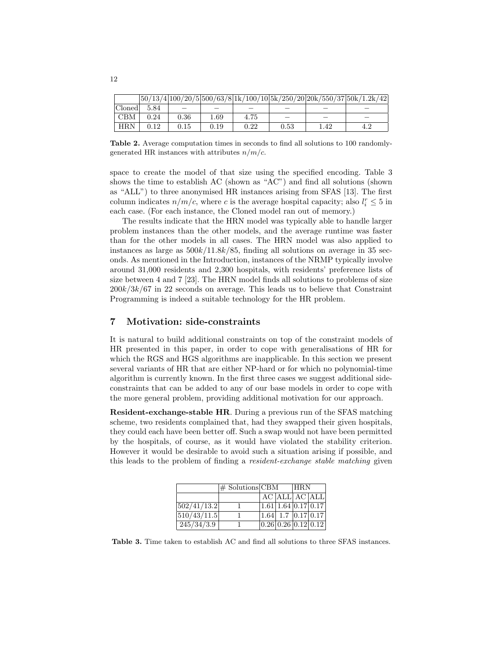|            |      |      |          |      |      |     | $\frac{50}{13/4}$ $\frac{100}{20/5}$ $\frac{500}{63/8}$ $\frac{1k}{100/10}$ $\frac{5k}{250/20}$ $\frac{20k}{50/37}$ $\frac{50k}{1.2k}/42$ |
|------------|------|------|----------|------|------|-----|-------------------------------------------------------------------------------------------------------------------------------------------|
| Cloned     | 5.84 |      |          |      |      |     |                                                                                                                                           |
| <b>CBM</b> | 0.24 | 0.36 | $1.69\,$ | 4.75 |      |     |                                                                                                                                           |
| <b>HRN</b> | 0.12 | 0.15 | 0.19     | 0.22 | 0.53 | .42 | 4.2                                                                                                                                       |

Table 2. Average computation times in seconds to find all solutions to 100 randomlygenerated HR instances with attributes  $n/m/c$ .

space to create the model of that size using the specified encoding. Table 3 shows the time to establish AC (shown as "AC") and find all solutions (shown as "ALL") to three anonymised HR instances arising from SFAS [13]. The first column indicates  $n/m/c$ , where c is the average hospital capacity; also  $l_i^r \leq 5$  in each case. (For each instance, the Cloned model ran out of memory.)

The results indicate that the HRN model was typically able to handle larger problem instances than the other models, and the average runtime was faster than for the other models in all cases. The HRN model was also applied to instances as large as  $500k/11.8k/85$ , finding all solutions on average in 35 seconds. As mentioned in the Introduction, instances of the NRMP typically involve around 31,000 residents and 2,300 hospitals, with residents' preference lists of size between 4 and 7 [23]. The HRN model finds all solutions to problems of size  $200k/3k/67$  in 22 seconds on average. This leads us to believe that Constraint Programming is indeed a suitable technology for the HR problem.

#### 7 Motivation: side-constraints

It is natural to build additional constraints on top of the constraint models of HR presented in this paper, in order to cope with generalisations of HR for which the RGS and HGS algorithms are inapplicable. In this section we present several variants of HR that are either NP-hard or for which no polynomial-time algorithm is currently known. In the first three cases we suggest additional sideconstraints that can be added to any of our base models in order to cope with the more general problem, providing additional motivation for our approach.

Resident-exchange-stable HR. During a previous run of the SFAS matching scheme, two residents complained that, had they swapped their given hospitals, they could each have been better off. Such a swap would not have been permitted by the hospitals, of course, as it would have violated the stability criterion. However it would be desirable to avoid such a situation arising if possible, and this leads to the problem of finding a resident-exchange stable matching given

|             | $\#$ Solutions CBM |  |                                                     | <b>HRN</b> |  |
|-------------|--------------------|--|-----------------------------------------------------|------------|--|
|             |                    |  | AC ALL AC ALL                                       |            |  |
| 502/41/13.2 |                    |  | $1.61$ 1.64 0.17 0.17                               |            |  |
| 510/43/11.5 |                    |  | $1.64$ $1.7$ $0.17$ $0.17$                          |            |  |
| 245/34/3.9  |                    |  | $\vert 0.26 \vert 0.26 \vert 0.12 \vert 0.12 \vert$ |            |  |

Table 3. Time taken to establish AC and find all solutions to three SFAS instances.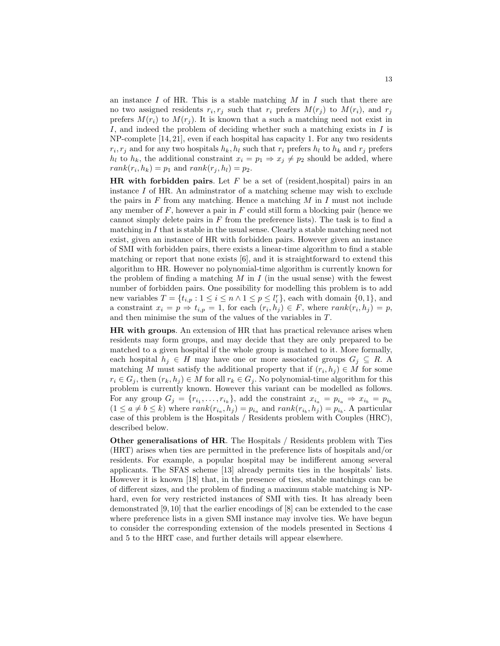an instance I of HR. This is a stable matching  $M$  in I such that there are no two assigned residents  $r_i, r_j$  such that  $r_i$  prefers  $M(r_j)$  to  $M(r_i)$ , and  $r_j$ prefers  $M(r_i)$  to  $M(r_j)$ . It is known that a such a matching need not exist in I, and indeed the problem of deciding whether such a matching exists in I is NP-complete [14, 21], even if each hospital has capacity 1. For any two residents  $r_i, r_j$  and for any two hospitals  $h_k, h_l$  such that  $r_i$  prefers  $h_l$  to  $h_k$  and  $r_j$  prefers  $h_l$  to  $h_k$ , the additional constraint  $x_i = p_1 \Rightarrow x_j \neq p_2$  should be added, where  $rank(r_i, h_k) = p_1$  and  $rank(r_j, h_l) = p_2$ .

**HR** with forbidden pairs. Let F be a set of (resident, hospital) pairs in an instance I of HR. An adminstrator of a matching scheme may wish to exclude the pairs in  $F$  from any matching. Hence a matching  $M$  in  $I$  must not include any member of  $F$ , however a pair in  $F$  could still form a blocking pair (hence we cannot simply delete pairs in  $F$  from the preference lists). The task is to find a matching in  $I$  that is stable in the usual sense. Clearly a stable matching need not exist, given an instance of HR with forbidden pairs. However given an instance of SMI with forbidden pairs, there exists a linear-time algorithm to find a stable matching or report that none exists [6], and it is straightforward to extend this algorithm to HR. However no polynomial-time algorithm is currently known for the problem of finding a matching  $M$  in  $I$  (in the usual sense) with the fewest number of forbidden pairs. One possibility for modelling this problem is to add new variables  $T = \{t_{i,p} : 1 \leq i \leq n \land 1 \leq p \leq l_i^r\}$ , each with domain  $\{0,1\}$ , and a constraint  $x_i = p \Rightarrow t_{i,p} = 1$ , for each  $(r_i, h_j) \in F$ , where  $rank(r_i, h_j) = p$ , and then minimise the sum of the values of the variables in T.

HR with groups. An extension of HR that has practical relevance arises when residents may form groups, and may decide that they are only prepared to be matched to a given hospital if the whole group is matched to it. More formally, each hospital  $h_j \in H$  may have one or more associated groups  $G_j \subseteq R$ . A matching M must satisfy the additional property that if  $(r_i, h_j) \in M$  for some  $r_i \in G_j$ , then  $(r_k, h_j) \in M$  for all  $r_k \in G_j$ . No polynomial-time algorithm for this problem is currently known. However this variant can be modelled as follows. For any group  $G_j = \{r_{i_1}, \ldots, r_{i_k}\}\$ , add the constraint  $x_{i_a} = p_{i_a} \Rightarrow x_{i_b} = p_{i_b}$  $(1 \le a \ne b \le k)$  where  $rank(r_{i_a}, h_j) = p_{i_a}$  and  $rank(r_{i_b}, h_j) = p_{i_b}$ . A particular case of this problem is the Hospitals / Residents problem with Couples (HRC), described below.

Other generalisations of HR. The Hospitals / Residents problem with Ties (HRT) arises when ties are permitted in the preference lists of hospitals and/or residents. For example, a popular hospital may be indifferent among several applicants. The SFAS scheme [13] already permits ties in the hospitals' lists. However it is known [18] that, in the presence of ties, stable matchings can be of different sizes, and the problem of finding a maximum stable matching is NPhard, even for very restricted instances of SMI with ties. It has already been demonstrated [9, 10] that the earlier encodings of [8] can be extended to the case where preference lists in a given SMI instance may involve ties. We have begun to consider the corresponding extension of the models presented in Sections 4 and 5 to the HRT case, and further details will appear elsewhere.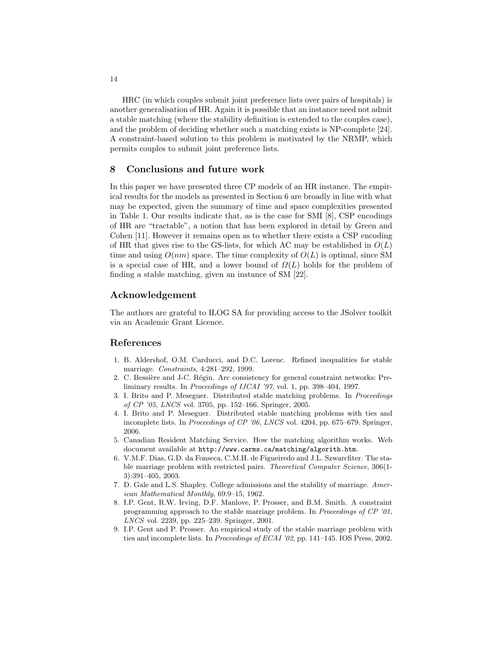HRC (in which couples submit joint preference lists over pairs of hospitals) is another generalisation of HR. Again it is possible that an instance need not admit a stable matching (where the stability definition is extended to the couples case), and the problem of deciding whether such a matching exists is NP-complete [24]. A constraint-based solution to this problem is motivated by the NRMP, which permits couples to submit joint preference lists.

# 8 Conclusions and future work

In this paper we have presented three CP models of an HR instance. The empirical results for the models as presented in Section 6 are broadly in line with what may be expected, given the summary of time and space complexities presented in Table 1. Our results indicate that, as is the case for SMI [8], CSP encodings of HR are "tractable", a notion that has been explored in detail by Green and Cohen [11]. However it remains open as to whether there exists a CSP encoding of HR that gives rise to the GS-lists, for which AC may be established in  $O(L)$ time and using  $O(nm)$  space. The time complexity of  $O(L)$  is optimal, since SM is a special case of HR, and a lower bound of  $\Omega(L)$  holds for the problem of finding a stable matching, given an instance of SM [22].

# Acknowledgement

The authors are grateful to ILOG SA for providing access to the JSolver toolkit via an Academic Grant Licence.

# References

- 1. B. Aldershof, O.M. Carducci, and D.C. Lorenc. Refined inequalities for stable marriage. Constraints, 4:281–292, 1999.
- 2. C. Bessière and J-C. Régin. Arc consistency for general constraint networks: Preliminary results. In Proceedings of IJCAI '97, vol. 1, pp. 398-404, 1997.
- 3. I. Brito and P. Meseguer. Distributed stable matching problems. In Proceedings of CP '05, LNCS vol. 3705, pp. 152–166. Springer, 2005.
- 4. I. Brito and P. Meseguer. Distributed stable matching problems with ties and incomplete lists. In Proceedings of CP '06, LNCS vol. 4204, pp. 675–679. Springer, 2006.
- 5. Canadian Resident Matching Service. How the matching algorithm works. Web document available at http://www.carms.ca/matching/algorith.htm.
- 6. V.M.F. Dias, G.D. da Fonseca, C.M.H. de Figueiredo and J.L. Szwarcfiter. The stable marriage problem with restricted pairs. Theoretical Computer Science, 306(1- 3):391–405, 2003.
- 7. D. Gale and L.S. Shapley. College admissions and the stability of marriage. American Mathematical Monthly, 69:9–15, 1962.
- 8. I.P. Gent, R.W. Irving, D.F. Manlove, P. Prosser, and B.M. Smith. A constraint programming approach to the stable marriage problem. In Proceedings of CP '01, LNCS vol. 2239, pp. 225–239. Springer, 2001.
- 9. I.P. Gent and P. Prosser. An empirical study of the stable marriage problem with ties and incomplete lists. In *Proceedings of ECAI '02*, pp. 141–145. IOS Press, 2002.